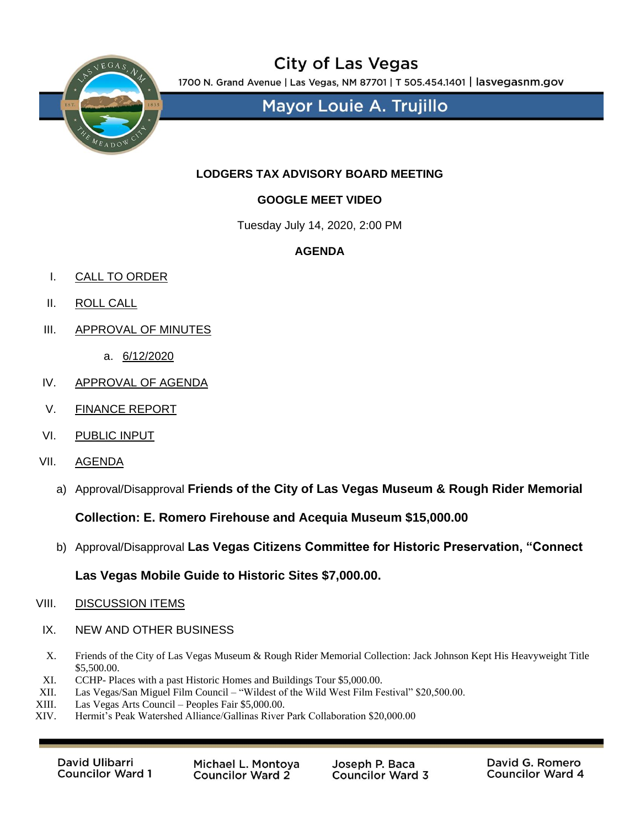

## **City of Las Vegas**

1700 N. Grand Avenue | Las Vegas, NM 87701 | T 505.454.1401 | lasvegasnm.gov

**Mayor Louie A. Trujillo** 

#### **LODGERS TAX ADVISORY BOARD MEETING**

### **GOOGLE MEET VIDEO**

Tuesday July 14, 2020, 2:00 PM

#### **AGENDA**

- I. CALL TO ORDER
- II. ROLL CALL
- III. APPROVAL OF MINUTES
	- a. 6/12/2020
- IV. APPROVAL OF AGENDA
- V. FINANCE REPORT
- VI. PUBLIC INPUT
- VII. AGENDA
	- a) Approval/Disapproval **Friends of the City of Las Vegas Museum & Rough Rider Memorial**

**Collection: E. Romero Firehouse and Acequia Museum \$15,000.00**

b) Approval/Disapproval **Las Vegas Citizens Committee for Historic Preservation, "Connect** 

#### **Las Vegas Mobile Guide to Historic Sites \$7,000.00.**

#### VIII. DISCUSSION ITEMS

- IX. NEW AND OTHER BUSINESS
- X. Friends of the City of Las Vegas Museum & Rough Rider Memorial Collection: Jack Johnson Kept His Heavyweight Title \$5,500.00.
- XI. CCHP- Places with a past Historic Homes and Buildings Tour \$5,000.00.
- XII. Las Vegas/San Miguel Film Council "Wildest of the Wild West Film Festival" \$20,500.00.
- XIII. Las Vegas Arts Council Peoples Fair \$5,000.00.<br>XIV. Hermit's Peak Watershed Alliance/Gallinas River
- Hermit's Peak Watershed Alliance/Gallinas River Park Collaboration \$20,000.00

David Ulibarri **Councilor Ward 1** 

Michael L. Montoya **Councilor Ward 2** 

Joseph P. Baca **Councilor Ward 3**  David G. Romero **Councilor Ward 4**